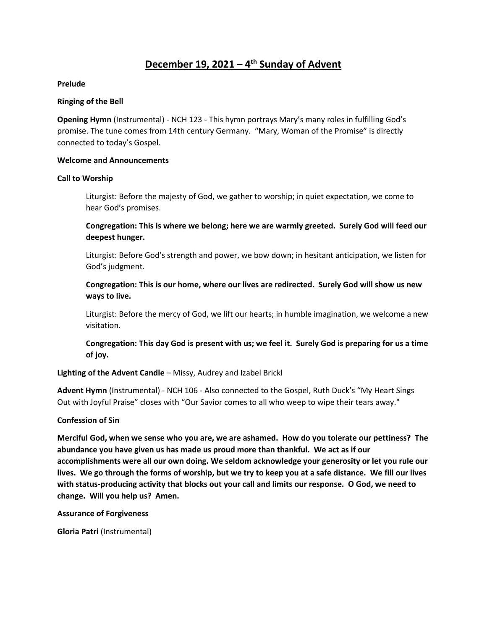# **December 19, 2021 – 4 th Sunday of Advent**

#### **Prelude**

## **Ringing of the Bell**

**Opening Hymn** (Instrumental) - NCH 123 - This hymn portrays Mary's many roles in fulfilling God's promise. The tune comes from 14th century Germany. "Mary, Woman of the Promise" is directly connected to today's Gospel.

#### **Welcome and Announcements**

#### **Call to Worship**

Liturgist: Before the majesty of God, we gather to worship; in quiet expectation, we come to hear God's promises.

**Congregation: This is where we belong; here we are warmly greeted. Surely God will feed our deepest hunger.**

Liturgist: Before God's strength and power, we bow down; in hesitant anticipation, we listen for God's judgment.

**Congregation: This is our home, where our lives are redirected. Surely God will show us new ways to live.**

Liturgist: Before the mercy of God, we lift our hearts; in humble imagination, we welcome a new visitation.

**Congregation: This day God is present with us; we feel it. Surely God is preparing for us a time of joy.**

## **Lighting of the Advent Candle** – Missy, Audrey and Izabel Brickl

**Advent Hymn** (Instrumental) - NCH 106 - Also connected to the Gospel, Ruth Duck's "My Heart Sings Out with Joyful Praise" closes with "Our Savior comes to all who weep to wipe their tears away."

## **Confession of Sin**

**Merciful God, when we sense who you are, we are ashamed. How do you tolerate our pettiness? The abundance you have given us has made us proud more than thankful. We act as if our accomplishments were all our own doing. We seldom acknowledge your generosity or let you rule our lives. We go through the forms of worship, but we try to keep you at a safe distance. We fill our lives with status-producing activity that blocks out your call and limits our response. O God, we need to change. Will you help us? Amen.** 

**Assurance of Forgiveness**

**Gloria Patri** (Instrumental)